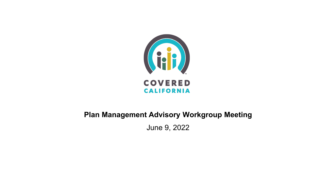

#### **Plan Management Advisory Workgroup Meeting**

June 9, 2022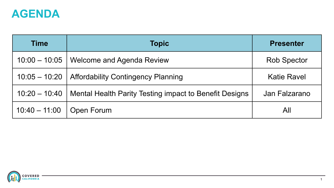

| <b>Time</b>     | <b>Topic</b>                                           | <b>Presenter</b>   |
|-----------------|--------------------------------------------------------|--------------------|
| $10:00 - 10:05$ | Welcome and Agenda Review                              | <b>Rob Spector</b> |
| $10:05 - 10:20$ | <b>Affordability Contingency Planning</b>              | <b>Katie Ravel</b> |
| $10:20 - 10:40$ | Mental Health Parity Testing impact to Benefit Designs | Jan Falzarano      |
| $10:40 - 11:00$ | <b>Open Forum</b>                                      | All                |

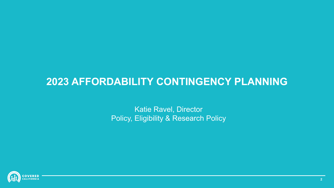#### **2023 AFFORDABILITY CONTINGENCY PLANNING**

Katie Ravel, Director Policy, Eligibility & Research Policy

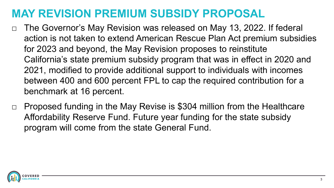#### **MAY REVISION PREMIUM SUBSIDY PROPOSAL**

- □ The Governor's May Revision was released on May 13, 2022. If federal action is not taken to extend American Rescue Plan Act premium subsidies for 2023 and beyond, the May Revision proposes to reinstitute California's state premium subsidy program that was in effect in 2020 and 2021, modified to provide additional support to individuals with incomes between 400 and 600 percent FPL to cap the required contribution for a benchmark at 16 percent.
- $\Box$  Proposed funding in the May Revise is \$304 million from the Healthcare Affordability Reserve Fund. Future year funding for the state subsidy program will come from the state General Fund.

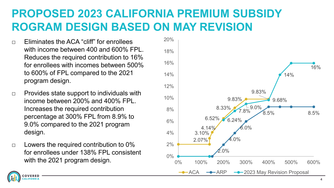## **PROPOSED 2023 CALIFORNIA PREMIUM SUBSIDY ROGRAM DESIGN BASED ON MAY REVISION**

- $\neg$  Eliminates the ACA "cliff" for enrollees with income between 400 and 600% FPL. Reduces the required contribution to 16% for enrollees with incomes between 500% to 600% of FPL compared to the 2021 program design.
- $\Box$  Provides state support to individuals with income between 200% and 400% FPL. Increases the required contribution percentage at 300% FPL from 8.9% to 9.0% compared to the 2021 program design.
- $\Box$  Lowers the required contribution to 0% for enrollees under 138% FPL consistent with the 2021 program design.



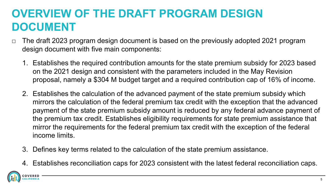## **OVERVIEW OF THE DRAFT PROGRAM DESIGN DOCUMENT**

- $\Box$  The draft 2023 program design document is based on the previously adopted 2021 program design document with five main components:
	- 1. Establishes the required contribution amounts for the state premium subsidy for 2023 based on the 2021 design and consistent with the parameters included in the May Revision proposal, namely a \$304 M budget target and a required contribution cap of 16% of income.
	- 2. Establishes the calculation of the advanced payment of the state premium subsidy which mirrors the calculation of the federal premium tax credit with the exception that the advanced payment of the state premium subsidy amount is reduced by any federal advance payment of the premium tax credit. Establishes eligibility requirements for state premium assistance that mirror the requirements for the federal premium tax credit with the exception of the federal income limits.
	- 3. Defines key terms related to the calculation of the state premium assistance.
	- 4. Establishes reconciliation caps for 2023 consistent with the latest federal reconciliation caps.

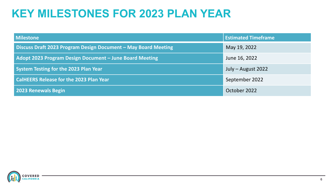#### **KEY MILESTONES FOR 2023 PLAN YEAR**

| <b>Milestone</b>                                               | <b>Estimated Timeframe</b> |  |  |
|----------------------------------------------------------------|----------------------------|--|--|
| Discuss Draft 2023 Program Design Document - May Board Meeting | May 19, 2022               |  |  |
| Adopt 2023 Program Design Document - June Board Meeting        | June 16, 2022              |  |  |
| <b>System Testing for the 2023 Plan Year</b>                   | July – August 2022         |  |  |
| <b>CalHEERS Release for the 2023 Plan Year</b>                 | September 2022             |  |  |
| 2023 Renewals Begin                                            | October 2022               |  |  |

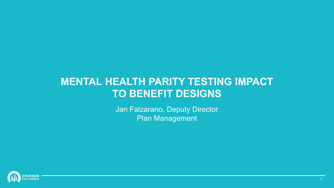#### **MENTAL HEALTH PARITY TESTING IMPACT TO BENEFIT DESIGNS**

Jan Falzarano, Deputy Director Plan Management

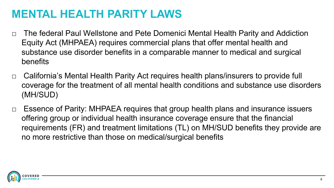#### **MENTAL HEALTH PARITY LAWS**

- □ The federal Paul Wellstone and Pete Domenici Mental Health Parity and Addiction Equity Act (MHPAEA) requires commercial plans that offer mental health and substance use disorder benefits in a comparable manner to medical and surgical benefits
- □ California's Mental Health Parity Act requires health plans/insurers to provide full coverage for the treatment of all mental health conditions and substance use disorders (MH/SUD)
- □ Essence of Parity: MHPAEA requires that group health plans and insurance issuers offering group or individual health insurance coverage ensure that the financial requirements (FR) and treatment limitations (TL) on MH/SUD benefits they provide are no more restrictive than those on medical/surgical benefits

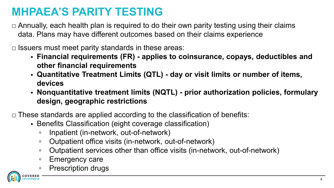## **MHPAEA'S PARITY TESTING**

 $\Box$  Annually, each health plan is required to do their own parity testing using their claims data. Plans may have different outcomes based on their claims experience

 $\Box$  Issuers must meet parity standards in these areas:

- **Financial requirements (FR) - applies to coinsurance, copays, deductibles and other financial requirements**
- **Quantitative Treatment Limits (QTL) - day or visit limits or number of items, devices**
- **Nonquantitative treatment limits (NQTL) - prior authorization policies, formulary design, geographic restrictions**

 $\Box$  These standards are applied according to the classification of benefits:

- Benefits Classification (eight coverage classification)
	- Inpatient (in-network, out-of-network)
	- Outpatient office visits (in-network, out-of-network)
	- Outpatient services other than office visits (in-network, out-of-network)
	- Emergency care
	- Prescription drugs

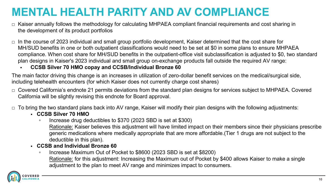## **MENTAL HEALTH PARITY AND AV COMPLIANCE**

- $\Box$  Kaiser annually follows the methodology for calculating MHPAEA compliant financial requirements and cost sharing in the development of its product portfolios
- $\Box$  In the course of 2023 individual and small group portfolio development, Kaiser determined that the cost share for MH/SUD benefits in one or both outpatient classifications would need to be set at \$0 in some plans to ensure MHPAEA compliance. When cost share for MH/SUD benefits in the outpatient-office visit subclassification is adjusted to \$0, two standard plan designs in Kaiser's 2023 individual and small group on-exchange products fall outside the required AV range:
	- **CCSB Silver 70 HMO copay and CCSB/Individual Bronze 60**

The main factor driving this change is an increases in utilization of zero-dollar benefit services on the medical/surgical side, including telehealth encounters (for which Kaiser does not currently charge cost shares)

 $\Box$  Covered California's endnote 21 permits deviations from the standard plan designs for services subject to MHPAEA. Covered California will be slightly revising this endnote for Board approval.

 $\Box$  To bring the two standard plans back into AV range, Kaiser will modify their plan designs with the following adjustments:

#### **CCSB Silver 70 HMO**

▫ Increase drug deductibles to \$370 (2023 SBD is set at \$300)

Rationale: Kaiser believes this adjustment will have limited impact on their members since their physicians prescribe generic medications where medically appropriate that are more affordable.(Tier 1 drugs are not subject to the deductible in this plan).

- **CCSB and Individual Bronze 60**
	- Increase Maximum Out of Pocket to \$8600 (2023 SBD is set at \$8200)

Rationale: for this adjustment: Increasing the Maximum out of Pocket by \$400 allows Kaiser to make a single adjustment to the plan to meet AV range and minimizes impact to consumers.

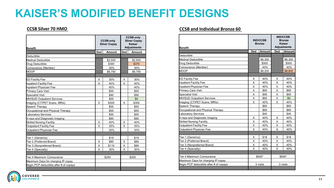#### **KAISER'S MODIFIED BENEFIT DESIGNS**

| Benefit                                |     | <b>CCSB-only</b><br><b>Silver Copay</b> |     | <b>CCSB-only</b><br><b>Silver Copay</b><br>Kaiser<br><b>Adjustments</b> |  |
|----------------------------------------|-----|-----------------------------------------|-----|-------------------------------------------------------------------------|--|
|                                        | Ded | Amount                                  | Ded | Amount                                                                  |  |
| Deductible                             |     |                                         |     |                                                                         |  |
| <b>Medical Deductible</b>              |     | \$2,500                                 |     | \$2,500                                                                 |  |
| Drug Deductible                        |     | \$300                                   |     | \$370                                                                   |  |
| Coinsurance (Member)                   |     | 30%                                     |     | 30%                                                                     |  |
| <b>MOOP</b>                            |     | \$8,750                                 |     | \$8,750                                                                 |  |
|                                        |     |                                         |     |                                                                         |  |
| <b>ED Facility Fee</b>                 | X   | 30%                                     | X   | 30%                                                                     |  |
| Inpatient Facility Fee                 | X   | 40%                                     | X   | 40%                                                                     |  |
| <b>Inpatient Physician Fee</b>         |     | 40%                                     |     | 40%                                                                     |  |
| Primary Care Visit                     |     | \$55                                    |     | \$55                                                                    |  |
| <b>Specialist Visit</b>                |     | \$90                                    |     | \$90                                                                    |  |
| <b>MH/SUD Outpatient Services</b>      |     | \$55                                    |     | \$0                                                                     |  |
| Imaging (CT/PET Scans, MRIs)           | X   | \$300                                   | X   | \$300                                                                   |  |
| Speech Therapy                         |     | \$55                                    |     | \$55                                                                    |  |
| Occupational and Physical Therapy      |     | \$55                                    |     | \$55                                                                    |  |
| aboratory Services                     |     | \$55                                    |     | \$55                                                                    |  |
| X-rays and Diagnostic Imaging          |     | \$90                                    |     | \$90                                                                    |  |
| <b>Skilled Nursing Facility</b>        | X   | 40%                                     | х   | 40%                                                                     |  |
| <b>Outpatient Facility Fee</b>         | X   | 35%                                     | X   | 35%                                                                     |  |
| Outpatient Physician Fee               |     | 30%                                     |     | 30%                                                                     |  |
|                                        |     |                                         |     |                                                                         |  |
| Tier 1 (Generics)                      |     | \$19                                    |     | \$19                                                                    |  |
| Tier 2 (Preferred Brand)               | X   | \$85                                    | X   | \$85                                                                    |  |
| Tier 3 (Nonpreferred Brand)            | X   | \$110                                   | X   | \$85                                                                    |  |
| Tier 4 (Specialty)                     | X   | 30%                                     | x   | 30%                                                                     |  |
|                                        |     |                                         |     |                                                                         |  |
| Tier 4 Maximum Coinsurance             |     | \$250                                   |     | \$250                                                                   |  |
| Maximum Days for charging IP copay     |     |                                         |     |                                                                         |  |
| Begin PCP deductible after # of copays |     |                                         |     |                                                                         |  |
|                                        |     |                                         |     |                                                                         |  |

#### **CCSB Silver 70 HMO CCSB and Individual Bronze 60**

| Benefit                                |     | <b>IND/CCSB</b><br><b>Bronze</b> |     | <b>IND/CCSB</b><br><b>Bronze</b><br>Kaiser<br><b>Adjustments</b> |  |
|----------------------------------------|-----|----------------------------------|-----|------------------------------------------------------------------|--|
|                                        | Ded | <b>Amount</b>                    | Ded | Amount                                                           |  |
| Deductible                             |     |                                  |     |                                                                  |  |
| <b>Medical Deductible</b>              |     | \$6,300                          |     | \$6,300                                                          |  |
| Drug Deductible                        |     | \$500                            |     | \$500                                                            |  |
| Coinsurance (Member)                   |     | 40%                              |     | 40%                                                              |  |
| MOOP                                   |     | \$8,200                          |     | \$8,600                                                          |  |
|                                        |     |                                  |     |                                                                  |  |
| <b>ED Facility Fee</b>                 | X   | 40%                              | х   | 40%                                                              |  |
| Inpatient Facility Fee                 | X   | 40%                              | X   | 40%                                                              |  |
| Inpatient Physician Fee                | X   | 40%                              | X   | 40%                                                              |  |
| Primary Care Visit                     | X   | \$65                             | X   | \$65                                                             |  |
| <b>Specialist Visit</b>                | X   | \$95                             | X   | \$95                                                             |  |
| <b>MH/SUD Outpatient Services</b>      | X   | \$65                             | X   | \$0                                                              |  |
| Imaging (CT/PET Scans, MRIs)           | X   | 40%                              | X   | 40%                                                              |  |
| Speech Therapy                         |     | \$65                             |     | \$65                                                             |  |
| Occupational and Physical Therapy      |     | \$65                             |     | \$65                                                             |  |
| aboratory Services                     |     | \$40                             |     | \$40                                                             |  |
| X-rays and Diagnostic Imaging          | X   | 40%                              | X   | 40%                                                              |  |
| <b>Skilled Nursing Facility</b>        | X   | 40%                              | X   | 40%                                                              |  |
| <b>Outpatient Facility Fee</b>         | X   | 40%                              | X   | 40%                                                              |  |
| Outpatient Physician Fee               | X   | 40%                              | X   | 40%                                                              |  |
|                                        |     |                                  |     |                                                                  |  |
| Tier 1 (Generics)                      | X   | \$18                             | х   | \$18                                                             |  |
| Tier 2 (Preferred Brand)               | X   | 40%                              | X   | 40%                                                              |  |
| Tier 3 (Nonpreferred Brand)            | X   | 40%                              | X   | 40%                                                              |  |
| Tier 4 (Specialty)                     | X   | 40%                              | X   | 40%                                                              |  |
|                                        |     |                                  |     |                                                                  |  |
| Tier 4 Maximum Coinsurance             |     | \$500*                           |     | \$500*                                                           |  |
| Maximum Days for charging IP copay     |     |                                  |     |                                                                  |  |
| Begin PCP deductible after # of copays |     | 3 visits                         |     | 3 visits                                                         |  |
|                                        |     |                                  |     |                                                                  |  |

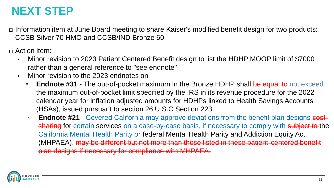#### **NEXT STEP**

□ Information item at June Board meeting to share Kaiser's modified benefit design for two products: CCSB Silver 70 HMO and CCSB/IND Bronze 60

 $\Box$  Action item:

- Minor revision to 2023 Patient Centered Benefit design to list the HDHP MOOP limit of \$7000 rather than a general reference to "see endnote"
- Minor revision to the 2023 endnotes on
	- **Endnote #31** The out-of-pocket maximum in the Bronze HDHP shall be equal to not exceed the maximum out-of-pocket limit specified by the IRS in its revenue procedure for the 2022 calendar year for inflation adjusted amounts for HDHPs linked to Health Savings Accounts (HSAs), issued pursuant to section 26 U.S.C Section 223.
	- **Endnote #21** Covered California may approve deviations from the benefit plan designs costsharing for certain services on a case-by-case basis, if necessary to comply with subject to the California Mental Health Parity or federal Mental Health Parity and Addiction Equity Act (MHPAEA). may be different but not more than those listed in these patient-centered benefit plan designs if necessary for compliance with MHPAEA.